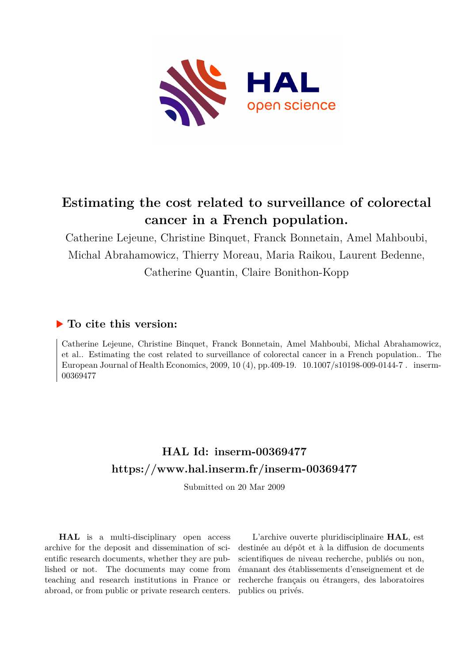

# **Estimating the cost related to surveillance of colorectal cancer in a French population.**

Catherine Lejeune, Christine Binquet, Franck Bonnetain, Amel Mahboubi, Michal Abrahamowicz, Thierry Moreau, Maria Raikou, Laurent Bedenne, Catherine Quantin, Claire Bonithon-Kopp

# **To cite this version:**

Catherine Lejeune, Christine Binquet, Franck Bonnetain, Amel Mahboubi, Michal Abrahamowicz, et al.. Estimating the cost related to surveillance of colorectal cancer in a French population.. The European Journal of Health Economics,  $2009, 10 (4)$ , pp.409-19.  $10.1007/s10198-009-0144-7$ . inserm-00369477

# **HAL Id: inserm-00369477 <https://www.hal.inserm.fr/inserm-00369477>**

Submitted on 20 Mar 2009

**HAL** is a multi-disciplinary open access archive for the deposit and dissemination of scientific research documents, whether they are published or not. The documents may come from teaching and research institutions in France or abroad, or from public or private research centers.

L'archive ouverte pluridisciplinaire **HAL**, est destinée au dépôt et à la diffusion de documents scientifiques de niveau recherche, publiés ou non, émanant des établissements d'enseignement et de recherche français ou étrangers, des laboratoires publics ou privés.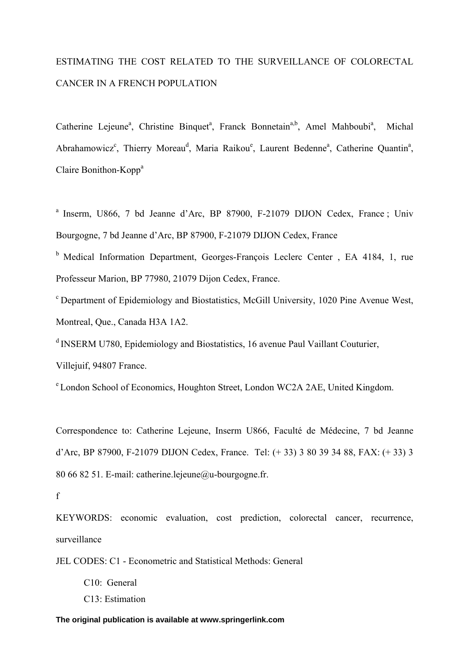# ESTIMATING THE COST RELATED TO THE SURVEILLANCE OF COLORECTAL CANCER IN A FRENCH POPULATION

Catherine Lejeune<sup>a</sup>, Christine Binquet<sup>a</sup>, Franck Bonnetain<sup>a,b</sup>, Amel Mahboubi<sup>a</sup>, Michal Abrahamowicz<sup>c</sup>, Thierry Moreau<sup>d</sup>, Maria Raikou<sup>e</sup>, Laurent Bedenne<sup>a</sup>, Catherine Quantin<sup>a</sup>, Claire Bonithon-Kopp<sup>a</sup>

a Inserm, U866, 7 bd Jeanne d'Arc, BP 87900, F-21079 DIJON Cedex, France ; Univ Bourgogne, 7 bd Jeanne d'Arc, BP 87900, F-21079 DIJON Cedex, France

<sup>b</sup> Medical Information Department, Georges-François Leclerc Center, EA 4184, 1, rue Professeur Marion, BP 77980, 21079 Dijon Cedex, France.

c Department of Epidemiology and Biostatistics, McGill University, 1020 Pine Avenue West, Montreal, Que., Canada H3A 1A2.

d INSERM U780, Epidemiology and Biostatistics, 16 avenue Paul Vaillant Couturier,

Villejuif, 94807 France.

e London School of Economics, Houghton Street, London WC2A 2AE, United Kingdom.

Correspondence to: Catherine Lejeune, Inserm U866, Faculté de Médecine, 7 bd Jeanne d'Arc, BP 87900, F-21079 DIJON Cedex, France. Tel: (+ 33) 3 80 39 34 88, FAX: (+ 33) 3 80 66 82 51. E-mail: catherine.lejeune@u-bourgogne.fr.

f

KEYWORDS: economic evaluation, cost prediction, colorectal cancer, recurrence, surveillance

JEL CODES: C1 - Econometric and Statistical Methods: General

- C10: General
- C13: Estimation

**The original publication is available at www.springerlink.com**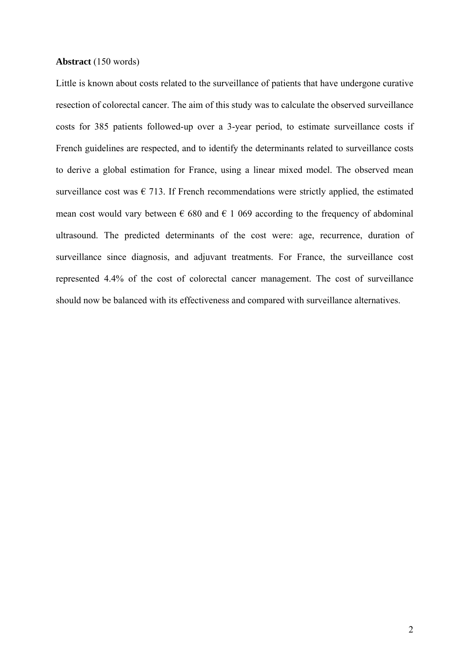#### **Abstract** (150 words)

Little is known about costs related to the surveillance of patients that have undergone curative resection of colorectal cancer. The aim of this study was to calculate the observed surveillance costs for 385 patients followed-up over a 3-year period, to estimate surveillance costs if French guidelines are respected, and to identify the determinants related to surveillance costs to derive a global estimation for France, using a linear mixed model. The observed mean surveillance cost was  $\epsilon$  713. If French recommendations were strictly applied, the estimated mean cost would vary between  $\epsilon$  680 and  $\epsilon$  1 069 according to the frequency of abdominal ultrasound. The predicted determinants of the cost were: age, recurrence, duration of surveillance since diagnosis, and adjuvant treatments. For France, the surveillance cost represented 4.4% of the cost of colorectal cancer management. The cost of surveillance should now be balanced with its effectiveness and compared with surveillance alternatives.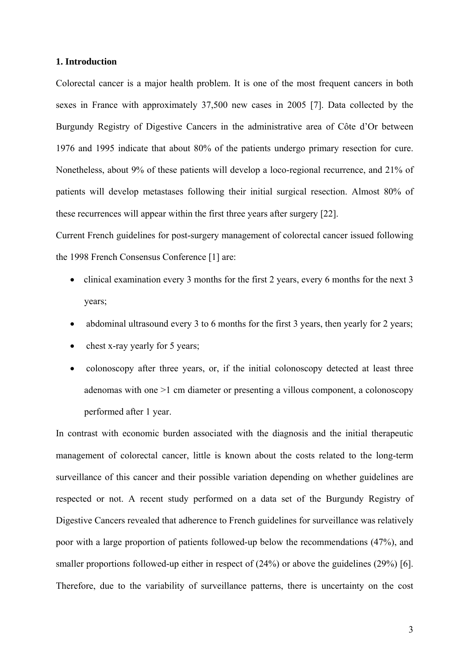### **1. Introduction**

Colorectal cancer is a major health problem. It is one of the most frequent cancers in both sexes in France with approximately 37,500 new cases in 2005 [7]. Data collected by the Burgundy Registry of Digestive Cancers in the administrative area of Côte d'Or between 1976 and 1995 indicate that about 80% of the patients undergo primary resection for cure. Nonetheless, about 9% of these patients will develop a loco-regional recurrence, and 21% of patients will develop metastases following their initial surgical resection. Almost 80% of these recurrences will appear within the first three years after surgery [22].

Current French guidelines for post-surgery management of colorectal cancer issued following the 1998 French Consensus Conference [1] are:

- clinical examination every 3 months for the first 2 years, every 6 months for the next 3 years;
- abdominal ultrasound every 3 to 6 months for the first 3 years, then yearly for 2 years;
- chest x-ray yearly for 5 years;
- colonoscopy after three years, or, if the initial colonoscopy detected at least three adenomas with one >1 cm diameter or presenting a villous component, a colonoscopy performed after 1 year.

In contrast with economic burden associated with the diagnosis and the initial therapeutic management of colorectal cancer, little is known about the costs related to the long-term surveillance of this cancer and their possible variation depending on whether guidelines are respected or not. A recent study performed on a data set of the Burgundy Registry of Digestive Cancers revealed that adherence to French guidelines for surveillance was relatively poor with a large proportion of patients followed-up below the recommendations (47%), and smaller proportions followed-up either in respect of  $(24%)$  or above the guidelines  $(29%)$  [6]. Therefore, due to the variability of surveillance patterns, there is uncertainty on the cost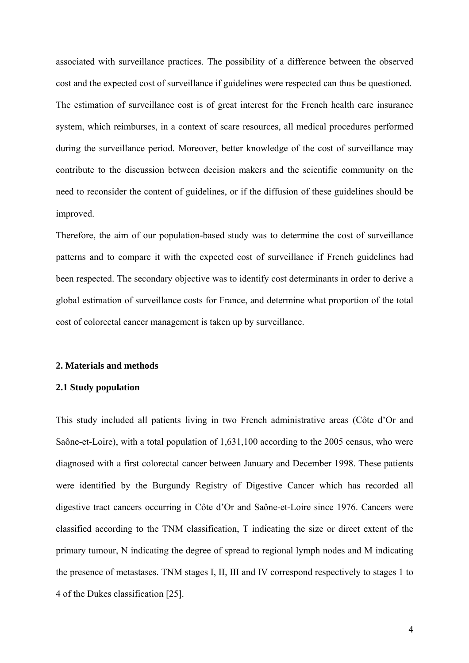associated with surveillance practices. The possibility of a difference between the observed cost and the expected cost of surveillance if guidelines were respected can thus be questioned. The estimation of surveillance cost is of great interest for the French health care insurance system, which reimburses, in a context of scare resources, all medical procedures performed during the surveillance period. Moreover, better knowledge of the cost of surveillance may contribute to the discussion between decision makers and the scientific community on the need to reconsider the content of guidelines, or if the diffusion of these guidelines should be improved.

Therefore, the aim of our population-based study was to determine the cost of surveillance patterns and to compare it with the expected cost of surveillance if French guidelines had been respected. The secondary objective was to identify cost determinants in order to derive a global estimation of surveillance costs for France, and determine what proportion of the total cost of colorectal cancer management is taken up by surveillance.

## **2. Materials and methods**

# **2.1 Study population**

This study included all patients living in two French administrative areas (Côte d'Or and Saône-et-Loire), with a total population of 1,631,100 according to the 2005 census, who were diagnosed with a first colorectal cancer between January and December 1998. These patients were identified by the Burgundy Registry of Digestive Cancer which has recorded all digestive tract cancers occurring in Côte d'Or and Saône-et-Loire since 1976. Cancers were classified according to the TNM classification, T indicating the size or direct extent of the primary tumour, N indicating the degree of spread to regional lymph nodes and M indicating the presence of metastases. TNM stages I, II, III and IV correspond respectively to stages 1 to 4 of the Dukes classification [25].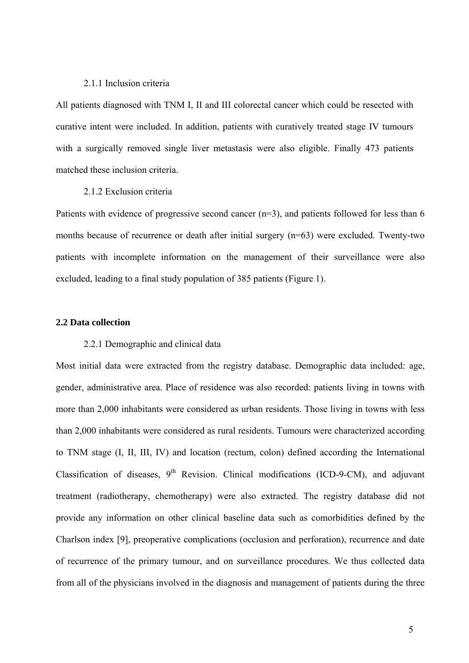## 2.1.1 Inclusion criteria

All patients diagnosed with TNM I, II and III colorectal cancer which could be resected with curative intent were included. In addition, patients with curatively treated stage IV tumours with a surgically removed single liver metastasis were also eligible. Finally 473 patients matched these inclusion criteria.

#### 2.1.2 Exclusion criteria

Patients with evidence of progressive second cancer (n=3), and patients followed for less than 6 months because of recurrence or death after initial surgery (n=63) were excluded. Twenty-two patients with incomplete information on the management of their surveillance were also excluded, leading to a final study population of 385 patients (Figure 1).

#### **2.2 Data collection**

# 2.2.1 Demographic and clinical data

Most initial data were extracted from the registry database. Demographic data included: age, gender, administrative area. Place of residence was also recorded: patients living in towns with more than 2,000 inhabitants were considered as urban residents. Those living in towns with less than 2,000 inhabitants were considered as rural residents. Tumours were characterized according to TNM stage (I, II, III, IV) and location (rectum, colon) defined according the International Classification of diseases,  $9<sup>th</sup>$  Revision. Clinical modifications (ICD-9-CM), and adjuvant treatment (radiotherapy, chemotherapy) were also extracted. The registry database did not provide any information on other clinical baseline data such as comorbidities defined by the Charlson index [9], preoperative complications (occlusion and perforation), recurrence and date of recurrence of the primary tumour, and on surveillance procedures. We thus collected data from all of the physicians involved in the diagnosis and management of patients during the three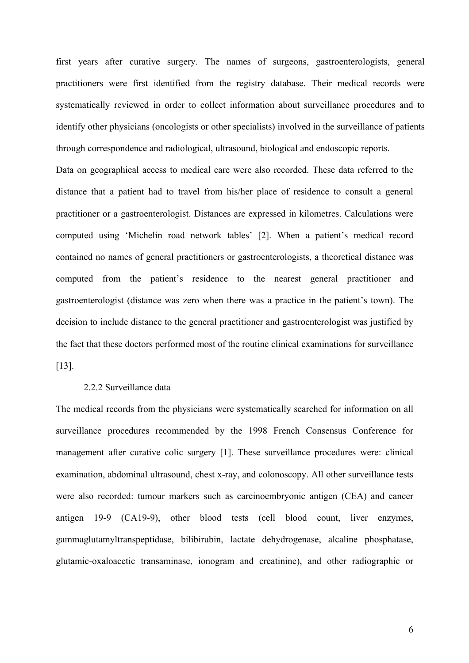first years after curative surgery. The names of surgeons, gastroenterologists, general practitioners were first identified from the registry database. Their medical records were systematically reviewed in order to collect information about surveillance procedures and to identify other physicians (oncologists or other specialists) involved in the surveillance of patients through correspondence and radiological, ultrasound, biological and endoscopic reports.

Data on geographical access to medical care were also recorded. These data referred to the distance that a patient had to travel from his/her place of residence to consult a general practitioner or a gastroenterologist. Distances are expressed in kilometres. Calculations were computed using 'Michelin road network tables' [2]. When a patient's medical record contained no names of general practitioners or gastroenterologists, a theoretical distance was computed from the patient's residence to the nearest general practitioner and gastroenterologist (distance was zero when there was a practice in the patient's town). The decision to include distance to the general practitioner and gastroenterologist was justified by the fact that these doctors performed most of the routine clinical examinations for surveillance [13].

#### 2.2.2 Surveillance data

The medical records from the physicians were systematically searched for information on all surveillance procedures recommended by the 1998 French Consensus Conference for management after curative colic surgery [1]. These surveillance procedures were: clinical examination, abdominal ultrasound, chest x-ray, and colonoscopy. All other surveillance tests were also recorded: tumour markers such as carcinoembryonic antigen (CEA) and cancer antigen 19-9 (CA19-9), other blood tests (cell blood count, liver enzymes, gammaglutamyltranspeptidase, bilibirubin, lactate dehydrogenase, alcaline phosphatase, glutamic-oxaloacetic transaminase, ionogram and creatinine), and other radiographic or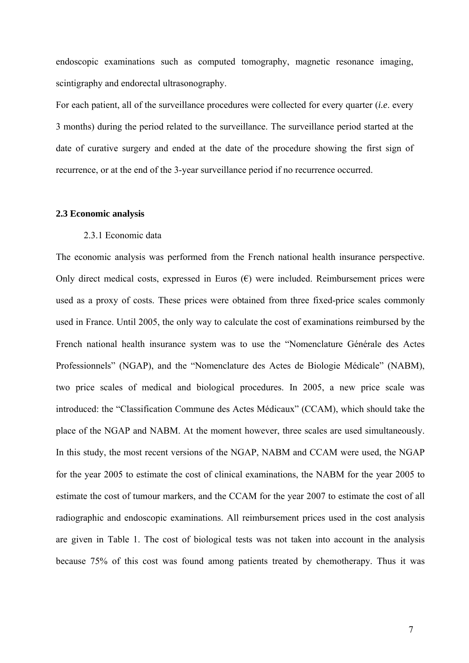endoscopic examinations such as computed tomography, magnetic resonance imaging, scintigraphy and endorectal ultrasonography.

For each patient, all of the surveillance procedures were collected for every quarter (*i.e*. every 3 months) during the period related to the surveillance. The surveillance period started at the date of curative surgery and ended at the date of the procedure showing the first sign of recurrence, or at the end of the 3-year surveillance period if no recurrence occurred.

#### **2.3 Economic analysis**

# 2.3.1 Economic data

The economic analysis was performed from the French national health insurance perspective. Only direct medical costs, expressed in Euros  $(\epsilon)$  were included. Reimbursement prices were used as a proxy of costs. These prices were obtained from three fixed-price scales commonly used in France. Until 2005, the only way to calculate the cost of examinations reimbursed by the French national health insurance system was to use the "Nomenclature Générale des Actes Professionnels" (NGAP), and the "Nomenclature des Actes de Biologie Médicale" (NABM), two price scales of medical and biological procedures. In 2005, a new price scale was introduced: the "Classification Commune des Actes Médicaux" (CCAM), which should take the place of the NGAP and NABM. At the moment however, three scales are used simultaneously. In this study, the most recent versions of the NGAP, NABM and CCAM were used, the NGAP for the year 2005 to estimate the cost of clinical examinations, the NABM for the year 2005 to estimate the cost of tumour markers, and the CCAM for the year 2007 to estimate the cost of all radiographic and endoscopic examinations. All reimbursement prices used in the cost analysis are given in Table 1. The cost of biological tests was not taken into account in the analysis because 75% of this cost was found among patients treated by chemotherapy. Thus it was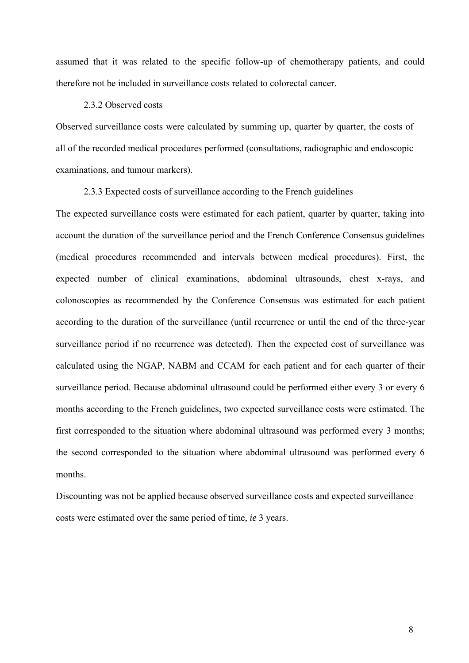assumed that it was related to the specific follow-up of chemotherapy patients, and could therefore not be included in surveillance costs related to colorectal cancer.

#### 2.3.2 Observed costs

Observed surveillance costs were calculated by summing up, quarter by quarter, the costs of all of the recorded medical procedures performed (consultations, radiographic and endoscopic examinations, and tumour markers).

## 2.3.3 Expected costs of surveillance according to the French guidelines

The expected surveillance costs were estimated for each patient, quarter by quarter, taking into account the duration of the surveillance period and the French Conference Consensus guidelines (medical procedures recommended and intervals between medical procedures). First, the expected number of clinical examinations, abdominal ultrasounds, chest x-rays, and colonoscopies as recommended by the Conference Consensus was estimated for each patient according to the duration of the surveillance (until recurrence or until the end of the three-year surveillance period if no recurrence was detected). Then the expected cost of surveillance was calculated using the NGAP, NABM and CCAM for each patient and for each quarter of their surveillance period. Because abdominal ultrasound could be performed either every 3 or every 6 months according to the French guidelines, two expected surveillance costs were estimated. The first corresponded to the situation where abdominal ultrasound was performed every 3 months; the second corresponded to the situation where abdominal ultrasound was performed every 6 months.

Discounting was not be applied because observed surveillance costs and expected surveillance costs were estimated over the same period of time, *ie* 3 years.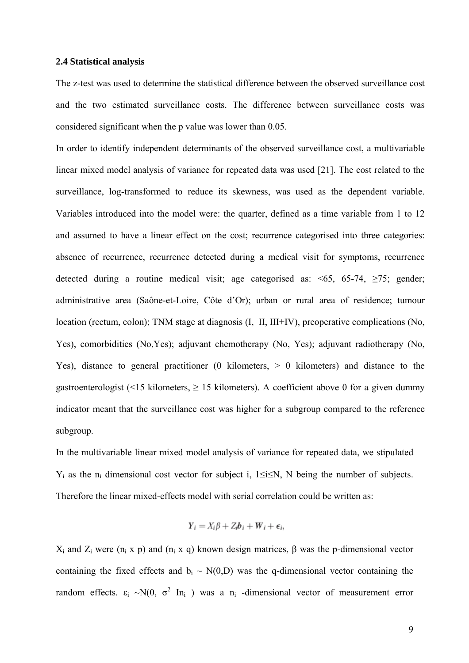#### **2.4 Statistical analysis**

The z-test was used to determine the statistical difference between the observed surveillance cost and the two estimated surveillance costs. The difference between surveillance costs was considered significant when the p value was lower than 0.05.

In order to identify independent determinants of the observed surveillance cost, a multivariable linear mixed model analysis of variance for repeated data was used [21]. The cost related to the surveillance, log-transformed to reduce its skewness, was used as the dependent variable. Variables introduced into the model were: the quarter, defined as a time variable from 1 to 12 and assumed to have a linear effect on the cost; recurrence categorised into three categories: absence of recurrence, recurrence detected during a medical visit for symptoms, recurrence detected during a routine medical visit; age categorised as:  $\leq 65$ ,  $65-74$ ,  $\geq 75$ ; gender; administrative area (Saône-et-Loire, Côte d'Or); urban or rural area of residence; tumour location (rectum, colon); TNM stage at diagnosis (I, II, III+IV), preoperative complications (No, Yes), comorbidities (No,Yes); adjuvant chemotherapy (No, Yes); adjuvant radiotherapy (No, Yes), distance to general practitioner (0 kilometers, > 0 kilometers) and distance to the gastroenterologist (<15 kilometers,  $\geq$  15 kilometers). A coefficient above 0 for a given dummy indicator meant that the surveillance cost was higher for a subgroup compared to the reference subgroup.

In the multivariable linear mixed model analysis of variance for repeated data, we stipulated  $Y_i$  as the n<sub>i</sub> dimensional cost vector for subject i, 1≤i≤N, N being the number of subjects. Therefore the linear mixed-effects model with serial correlation could be written as:

$$
Y_i = X_i \beta + Z_i b_i + W_i + \epsilon_i,
$$

 $X_i$  and  $Z_i$  were (n<sub>i</sub> x p) and (n<sub>i</sub> x q) known design matrices, β was the p-dimensional vector containing the fixed effects and  $b_i \sim N(0,D)$  was the q-dimensional vector containing the random effects.  $\varepsilon_i \sim N(0, \sigma^2 \text{In}_i)$  was a n<sub>i</sub>-dimensional vector of measurement error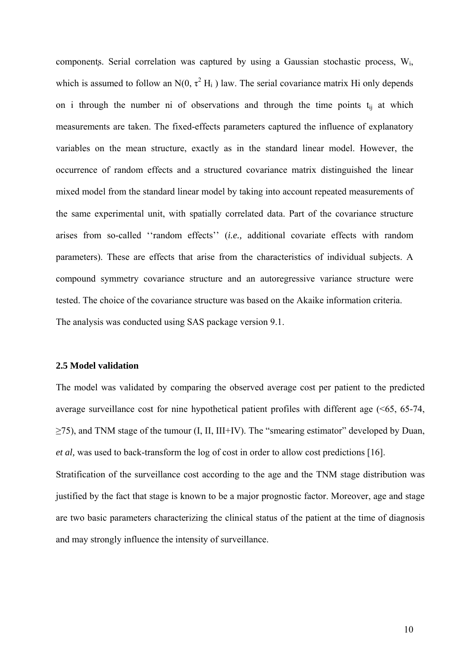components. Serial correlation was captured by using a Gaussian stochastic process, Wi, which is assumed to follow an N(0,  $\tau^2$  H<sub>i</sub>) law. The serial covariance matrix Hi only depends on i through the number ni of observations and through the time points  $t_{ii}$  at which measurements are taken. The fixed-effects parameters captured the influence of explanatory variables on the mean structure, exactly as in the standard linear model. However, the occurrence of random effects and a structured covariance matrix distinguished the linear mixed model from the standard linear model by taking into account repeated measurements of the same experimental unit, with spatially correlated data. Part of the covariance structure arises from so-called ''random effects'' (*i.e.,* additional covariate effects with random parameters). These are effects that arise from the characteristics of individual subjects. A compound symmetry covariance structure and an autoregressive variance structure were tested. The choice of the covariance structure was based on the Akaike information criteria. The analysis was conducted using SAS package version 9.1.

## **2.5 Model validation**

The model was validated by comparing the observed average cost per patient to the predicted average surveillance cost for nine hypothetical patient profiles with different age (<65, 65-74, ≥75), and TNM stage of the tumour (I, II, III+IV). The "smearing estimator" developed by Duan, *et al,* was used to back-transform the log of cost in order to allow cost predictions [16]. Stratification of the surveillance cost according to the age and the TNM stage distribution was justified by the fact that stage is known to be a major prognostic factor. Moreover, age and stage are two basic parameters characterizing the clinical status of the patient at the time of diagnosis and may strongly influence the intensity of surveillance.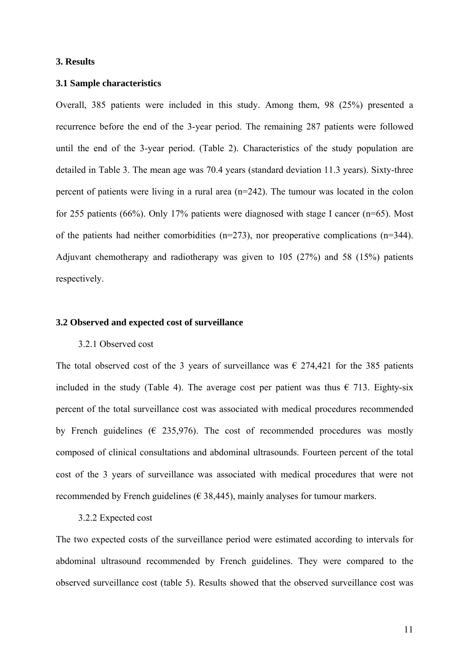#### **3. Results**

## **3.1 Sample characteristics**

Overall, 385 patients were included in this study. Among them, 98 (25%) presented a recurrence before the end of the 3-year period. The remaining 287 patients were followed until the end of the 3-year period. (Table 2). Characteristics of the study population are detailed in Table 3. The mean age was 70.4 years (standard deviation 11.3 years). Sixty-three percent of patients were living in a rural area (n=242). The tumour was located in the colon for 255 patients (66%). Only 17% patients were diagnosed with stage I cancer (n=65). Most of the patients had neither comorbidities (n=273), nor preoperative complications (n=344). Adjuvant chemotherapy and radiotherapy was given to 105 (27%) and 58 (15%) patients respectively.

#### **3.2 Observed and expected cost of surveillance**

#### 3.2.1 Observed cost

The total observed cost of the 3 years of surveillance was  $\epsilon$  274,421 for the 385 patients included in the study (Table 4). The average cost per patient was thus  $\epsilon$  713. Eighty-six percent of the total surveillance cost was associated with medical procedures recommended by French guidelines ( $\epsilon$  235,976). The cost of recommended procedures was mostly composed of clinical consultations and abdominal ultrasounds. Fourteen percent of the total cost of the 3 years of surveillance was associated with medical procedures that were not recommended by French guidelines ( $\in$  38,445), mainly analyses for tumour markers.

#### 3.2.2 Expected cost

The two expected costs of the surveillance period were estimated according to intervals for abdominal ultrasound recommended by French guidelines. They were compared to the observed surveillance cost (table 5). Results showed that the observed surveillance cost was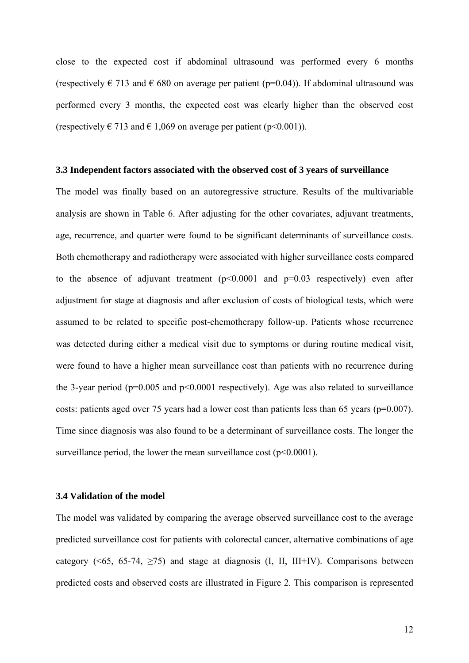close to the expected cost if abdominal ultrasound was performed every 6 months (respectively  $\in$  713 and  $\in$  680 on average per patient (p=0.04)). If abdominal ultrasound was performed every 3 months, the expected cost was clearly higher than the observed cost (respectively  $\in$  713 and  $\in$  1,069 on average per patient (p<0.001)).

#### **3.3 Independent factors associated with the observed cost of 3 years of surveillance**

The model was finally based on an autoregressive structure. Results of the multivariable analysis are shown in Table 6. After adjusting for the other covariates, adjuvant treatments, age, recurrence, and quarter were found to be significant determinants of surveillance costs. Both chemotherapy and radiotherapy were associated with higher surveillance costs compared to the absence of adjuvant treatment  $(p<0.0001$  and  $p=0.03$  respectively) even after adjustment for stage at diagnosis and after exclusion of costs of biological tests, which were assumed to be related to specific post-chemotherapy follow-up. Patients whose recurrence was detected during either a medical visit due to symptoms or during routine medical visit, were found to have a higher mean surveillance cost than patients with no recurrence during the 3-year period ( $p=0.005$  and  $p<0.0001$  respectively). Age was also related to surveillance costs: patients aged over 75 years had a lower cost than patients less than 65 years (p=0.007). Time since diagnosis was also found to be a determinant of surveillance costs. The longer the surveillance period, the lower the mean surveillance cost  $(p<0.0001)$ .

# **3.4 Validation of the model**

The model was validated by comparing the average observed surveillance cost to the average predicted surveillance cost for patients with colorectal cancer, alternative combinations of age category ( $\leq 65$ , 65-74,  $\geq 75$ ) and stage at diagnosis (I, II, III+IV). Comparisons between predicted costs and observed costs are illustrated in Figure 2. This comparison is represented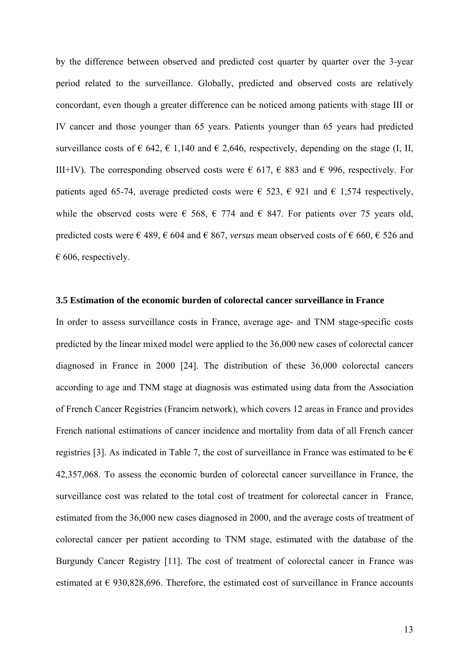by the difference between observed and predicted cost quarter by quarter over the 3-year period related to the surveillance. Globally, predicted and observed costs are relatively concordant, even though a greater difference can be noticed among patients with stage III or IV cancer and those younger than 65 years. Patients younger than 65 years had predicted surveillance costs of  $\in 642, \in 1,140$  and  $\in 2,646$ , respectively, depending on the stage (I, II, III+IV). The corresponding observed costs were  $\epsilon$  617,  $\epsilon$  883 and  $\epsilon$  996, respectively. For patients aged 65-74, average predicted costs were  $\epsilon$  523,  $\epsilon$  921 and  $\epsilon$  1,574 respectively, while the observed costs were  $\epsilon$  568,  $\epsilon$  774 and  $\epsilon$  847. For patients over 75 years old, predicted costs were € 489, € 604 and € 867, *versus* mean observed costs of € 660, € 526 and  $\epsilon$  606, respectively.

#### **3.5 Estimation of the economic burden of colorectal cancer surveillance in France**

In order to assess surveillance costs in France, average age- and TNM stage-specific costs predicted by the linear mixed model were applied to the 36,000 new cases of colorectal cancer diagnosed in France in 2000 [24]. The distribution of these 36,000 colorectal cancers according to age and TNM stage at diagnosis was estimated using data from the Association of French Cancer Registries (Francim network), which covers 12 areas in France and provides French national estimations of cancer incidence and mortality from data of all French cancer registries [3]. As indicated in Table 7, the cost of surveillance in France was estimated to be  $\epsilon$ 42,357,068. To assess the economic burden of colorectal cancer surveillance in France, the surveillance cost was related to the total cost of treatment for colorectal cancer in France, estimated from the 36,000 new cases diagnosed in 2000, and the average costs of treatment of colorectal cancer per patient according to TNM stage, estimated with the database of the Burgundy Cancer Registry [11]. The cost of treatment of colorectal cancer in France was estimated at  $\epsilon$  930,828,696. Therefore, the estimated cost of surveillance in France accounts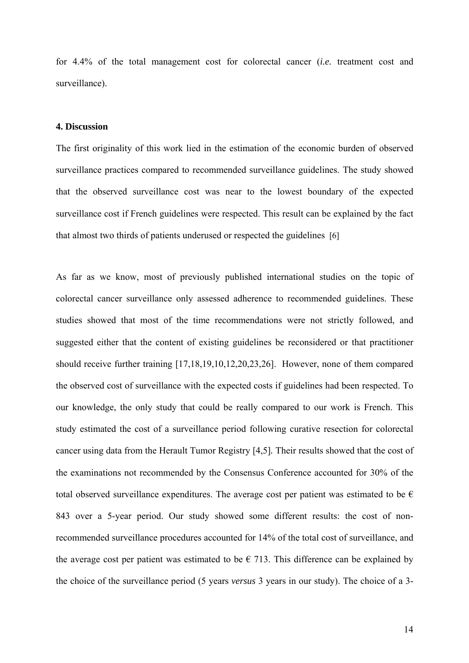for 4.4% of the total management cost for colorectal cancer (*i.e.* treatment cost and surveillance).

# **4. Discussion**

The first originality of this work lied in the estimation of the economic burden of observed surveillance practices compared to recommended surveillance guidelines. The study showed that the observed surveillance cost was near to the lowest boundary of the expected surveillance cost if French guidelines were respected. This result can be explained by the fact that almost two thirds of patients underused or respected the guidelines [6]

As far as we know, most of previously published international studies on the topic of colorectal cancer surveillance only assessed adherence to recommended guidelines. These studies showed that most of the time recommendations were not strictly followed, and suggested either that the content of existing guidelines be reconsidered or that practitioner should receive further training [17,18,19,10,12,20,23,26]. However, none of them compared the observed cost of surveillance with the expected costs if guidelines had been respected. To our knowledge, the only study that could be really compared to our work is French. This study estimated the cost of a surveillance period following curative resection for colorectal cancer using data from the Herault Tumor Registry [4,5]*.* Their results showed that the cost of the examinations not recommended by the Consensus Conference accounted for 30% of the total observed surveillance expenditures. The average cost per patient was estimated to be  $\epsilon$ 843 over a 5-year period. Our study showed some different results: the cost of nonrecommended surveillance procedures accounted for 14% of the total cost of surveillance, and the average cost per patient was estimated to be  $\epsilon$  713. This difference can be explained by the choice of the surveillance period (5 years *versus* 3 years in our study). The choice of a 3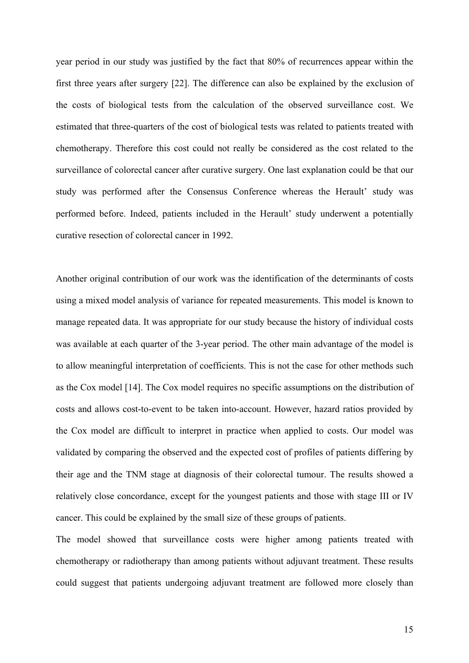year period in our study was justified by the fact that 80% of recurrences appear within the first three years after surgery [22]. The difference can also be explained by the exclusion of the costs of biological tests from the calculation of the observed surveillance cost. We estimated that three-quarters of the cost of biological tests was related to patients treated with chemotherapy. Therefore this cost could not really be considered as the cost related to the surveillance of colorectal cancer after curative surgery. One last explanation could be that our study was performed after the Consensus Conference whereas the Herault' study was performed before. Indeed, patients included in the Herault' study underwent a potentially curative resection of colorectal cancer in 1992.

Another original contribution of our work was the identification of the determinants of costs using a mixed model analysis of variance for repeated measurements. This model is known to manage repeated data. It was appropriate for our study because the history of individual costs was available at each quarter of the 3-year period. The other main advantage of the model is to allow meaningful interpretation of coefficients. This is not the case for other methods such as the Cox model [14]. The Cox model requires no specific assumptions on the distribution of costs and allows cost-to-event to be taken into-account. However, hazard ratios provided by the Cox model are difficult to interpret in practice when applied to costs. Our model was validated by comparing the observed and the expected cost of profiles of patients differing by their age and the TNM stage at diagnosis of their colorectal tumour. The results showed a relatively close concordance, except for the youngest patients and those with stage III or IV cancer. This could be explained by the small size of these groups of patients.

The model showed that surveillance costs were higher among patients treated with chemotherapy or radiotherapy than among patients without adjuvant treatment. These results could suggest that patients undergoing adjuvant treatment are followed more closely than

15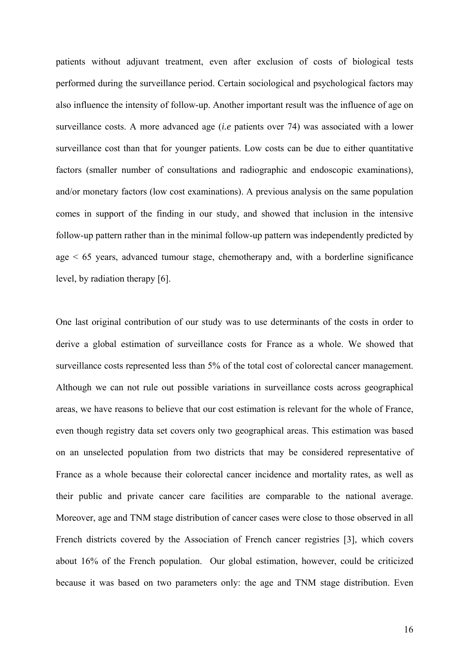patients without adjuvant treatment, even after exclusion of costs of biological tests performed during the surveillance period. Certain sociological and psychological factors may also influence the intensity of follow-up. Another important result was the influence of age on surveillance costs. A more advanced age (*i.e* patients over 74) was associated with a lower surveillance cost than that for younger patients. Low costs can be due to either quantitative factors (smaller number of consultations and radiographic and endoscopic examinations), and/or monetary factors (low cost examinations). A previous analysis on the same population comes in support of the finding in our study, and showed that inclusion in the intensive follow-up pattern rather than in the minimal follow-up pattern was independently predicted by age  $\leq 65$  years, advanced tumour stage, chemotherapy and, with a borderline significance level, by radiation therapy [6].

One last original contribution of our study was to use determinants of the costs in order to derive a global estimation of surveillance costs for France as a whole. We showed that surveillance costs represented less than 5% of the total cost of colorectal cancer management. Although we can not rule out possible variations in surveillance costs across geographical areas, we have reasons to believe that our cost estimation is relevant for the whole of France, even though registry data set covers only two geographical areas. This estimation was based on an unselected population from two districts that may be considered representative of France as a whole because their colorectal cancer incidence and mortality rates, as well as their public and private cancer care facilities are comparable to the national average. Moreover, age and TNM stage distribution of cancer cases were close to those observed in all French districts covered by the Association of French cancer registries [3], which covers about 16% of the French population. Our global estimation, however, could be criticized because it was based on two parameters only: the age and TNM stage distribution. Even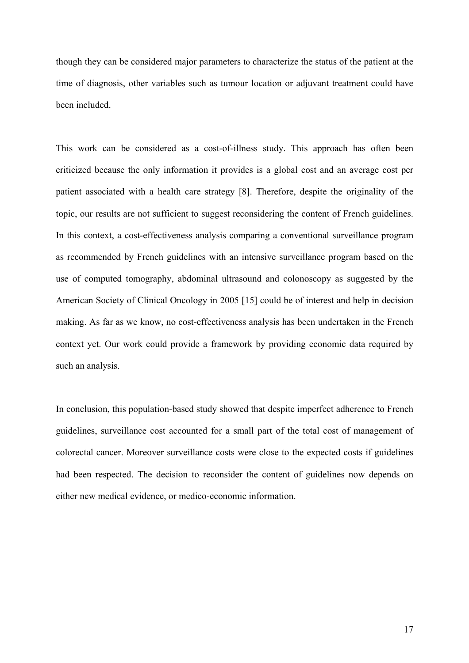though they can be considered major parameters to characterize the status of the patient at the time of diagnosis, other variables such as tumour location or adjuvant treatment could have been included.

This work can be considered as a cost-of-illness study. This approach has often been criticized because the only information it provides is a global cost and an average cost per patient associated with a health care strategy [8]. Therefore, despite the originality of the topic, our results are not sufficient to suggest reconsidering the content of French guidelines. In this context, a cost-effectiveness analysis comparing a conventional surveillance program as recommended by French guidelines with an intensive surveillance program based on the use of computed tomography, abdominal ultrasound and colonoscopy as suggested by the American Society of Clinical Oncology in 2005 [15] could be of interest and help in decision making. As far as we know, no cost-effectiveness analysis has been undertaken in the French context yet. Our work could provide a framework by providing economic data required by such an analysis.

In conclusion, this population-based study showed that despite imperfect adherence to French guidelines, surveillance cost accounted for a small part of the total cost of management of colorectal cancer. Moreover surveillance costs were close to the expected costs if guidelines had been respected. The decision to reconsider the content of guidelines now depends on either new medical evidence, or medico-economic information.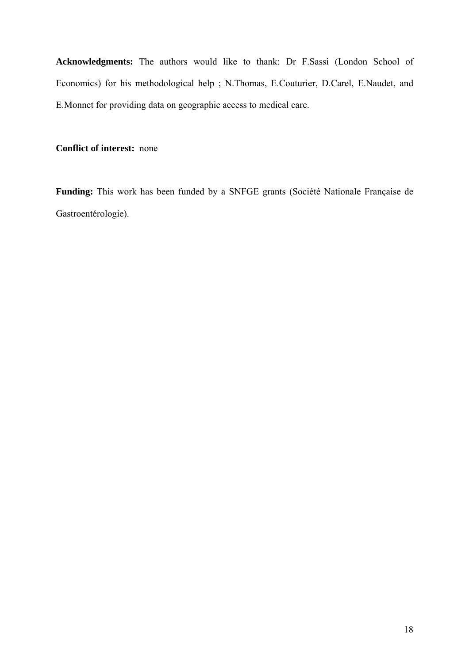**Acknowledgments:** The authors would like to thank: Dr F.Sassi (London School of Economics) for his methodological help ; N.Thomas, E.Couturier, D.Carel, E.Naudet, and E.Monnet for providing data on geographic access to medical care.

**Conflict of interest:** none

**Funding:** This work has been funded by a SNFGE grants (Société Nationale Française de Gastroentérologie).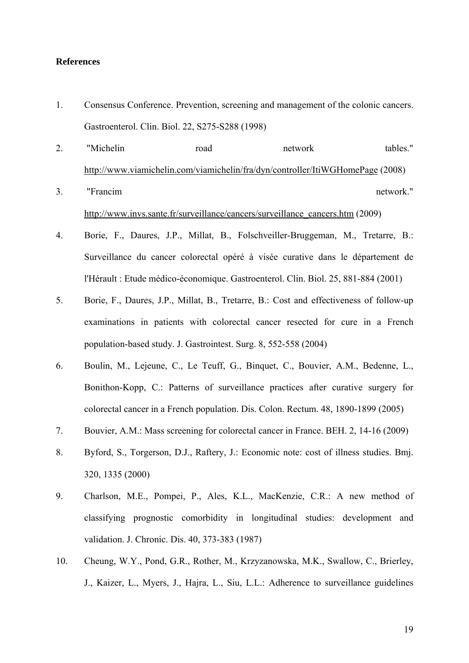## **References**

- 1. Consensus Conference. Prevention, screening and management of the colonic cancers. Gastroenterol. Clin. Biol. 22, S275-S288 (1998)
- 2. "Michelin road network tables." <http://www.viamichelin.com/viamichelin/fra/dyn/controller/ItiWGHomePage>(2008)
- 3. "Francim network." [http://www.invs.sante.fr/surveillance/cancers/surveillance\\_cancers.htm](http://www.invs.sante.fr/surveillance/cancers/surveillance_cancers.htm) (2009)
- 4. Borie, F., Daures, J.P., Millat, B., Folschveiller-Bruggeman, M., Tretarre, B.: Surveillance du cancer colorectal opéré à visée curative dans le département de l'Hérault : Etude médico-économique. Gastroenterol. Clin. Biol. 25, 881-884 (2001)
- 5. Borie, F., Daures, J.P., Millat, B., Tretarre, B.: Cost and effectiveness of follow-up examinations in patients with colorectal cancer resected for cure in a French population-based study. J. Gastrointest. Surg. 8, 552-558 (2004)
- 6. Boulin, M., Lejeune, C., Le Teuff, G., Binquet, C., Bouvier, A.M., Bedenne, L., Bonithon-Kopp, C.: Patterns of surveillance practices after curative surgery for colorectal cancer in a French population. Dis. Colon. Rectum. 48, 1890-1899 (2005)
- 7. Bouvier, A.M.: Mass screening for colorectal cancer in France. BEH. 2, 14-16 (2009)
- 8. Byford, S., Torgerson, D.J., Raftery, J.: Economic note: cost of illness studies. Bmj. 320, 1335 (2000)
- 9. Charlson, M.E., Pompei, P., Ales, K.L., MacKenzie, C.R.: A new method of classifying prognostic comorbidity in longitudinal studies: development and validation. J. Chronic. Dis. 40, 373-383 (1987)
- 10. Cheung, W.Y., Pond, G.R., Rother, M., Krzyzanowska, M.K., Swallow, C., Brierley, J., Kaizer, L., Myers, J., Hajra, L., Siu, L.L.: Adherence to surveillance guidelines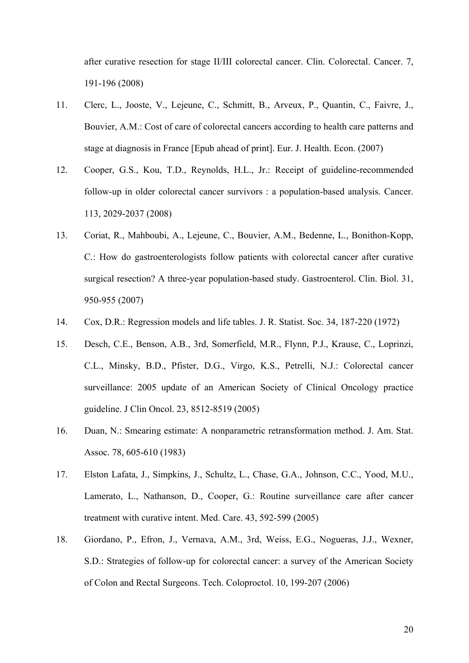after curative resection for stage II/III colorectal cancer. Clin. Colorectal. Cancer. 7, 191-196 (2008)

- 11. Clerc, L., Jooste, V., Lejeune, C., Schmitt, B., Arveux, P., Quantin, C., Faivre, J., Bouvier, A.M.: Cost of care of colorectal cancers according to health care patterns and stage at diagnosis in France [Epub ahead of print]. Eur. J. Health. Econ. (2007)
- 12. Cooper, G.S., Kou, T.D., Reynolds, H.L., Jr.: Receipt of guideline-recommended follow-up in older colorectal cancer survivors : a population-based analysis. Cancer. 113, 2029-2037 (2008)
- 13. Coriat, R., Mahboubi, A., Lejeune, C., Bouvier, A.M., Bedenne, L., Bonithon-Kopp, C.: How do gastroenterologists follow patients with colorectal cancer after curative surgical resection? A three-year population-based study. Gastroenterol. Clin. Biol. 31, 950-955 (2007)
- 14. Cox, D.R.: Regression models and life tables. J. R. Statist. Soc. 34, 187-220 (1972)
- 15. Desch, C.E., Benson, A.B., 3rd, Somerfield, M.R., Flynn, P.J., Krause, C., Loprinzi, C.L., Minsky, B.D., Pfister, D.G., Virgo, K.S., Petrelli, N.J.: Colorectal cancer surveillance: 2005 update of an American Society of Clinical Oncology practice guideline. J Clin Oncol. 23, 8512-8519 (2005)
- 16. Duan, N.: Smearing estimate: A nonparametric retransformation method. J. Am. Stat. Assoc. 78, 605-610 (1983)
- 17. Elston Lafata, J., Simpkins, J., Schultz, L., Chase, G.A., Johnson, C.C., Yood, M.U., Lamerato, L., Nathanson, D., Cooper, G.: Routine surveillance care after cancer treatment with curative intent. Med. Care. 43, 592-599 (2005)
- 18. Giordano, P., Efron, J., Vernava, A.M., 3rd, Weiss, E.G., Nogueras, J.J., Wexner, S.D.: Strategies of follow-up for colorectal cancer: a survey of the American Society of Colon and Rectal Surgeons. Tech. Coloproctol. 10, 199-207 (2006)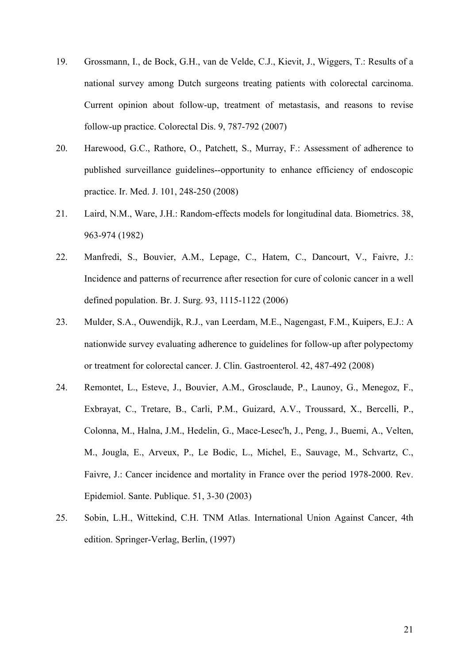- 19. Grossmann, I., de Bock, G.H., van de Velde, C.J., Kievit, J., Wiggers, T.: Results of a national survey among Dutch surgeons treating patients with colorectal carcinoma. Current opinion about follow-up, treatment of metastasis, and reasons to revise follow-up practice. Colorectal Dis. 9, 787-792 (2007)
- 20. Harewood, G.C., Rathore, O., Patchett, S., Murray, F.: Assessment of adherence to published surveillance guidelines--opportunity to enhance efficiency of endoscopic practice. Ir. Med. J. 101, 248-250 (2008)
- 21. Laird, N.M., Ware, J.H.: Random-effects models for longitudinal data. Biometrics. 38, 963-974 (1982)
- 22. Manfredi, S., Bouvier, A.M., Lepage, C., Hatem, C., Dancourt, V., Faivre, J.: Incidence and patterns of recurrence after resection for cure of colonic cancer in a well defined population. Br. J. Surg. 93, 1115-1122 (2006)
- 23. Mulder, S.A., Ouwendijk, R.J., van Leerdam, M.E., Nagengast, F.M., Kuipers, E.J.: A nationwide survey evaluating adherence to guidelines for follow-up after polypectomy or treatment for colorectal cancer. J. Clin. Gastroenterol. 42, 487-492 (2008)
- 24. Remontet, L., Esteve, J., Bouvier, A.M., Grosclaude, P., Launoy, G., Menegoz, F., Exbrayat, C., Tretare, B., Carli, P.M., Guizard, A.V., Troussard, X., Bercelli, P., Colonna, M., Halna, J.M., Hedelin, G., Mace-Lesec'h, J., Peng, J., Buemi, A., Velten, M., Jougla, E., Arveux, P., Le Bodic, L., Michel, E., Sauvage, M., Schvartz, C., Faivre, J.: Cancer incidence and mortality in France over the period 1978-2000. Rev. Epidemiol. Sante. Publique. 51, 3-30 (2003)
- 25. Sobin, L.H., Wittekind, C.H. TNM Atlas. International Union Against Cancer, 4th edition. Springer-Verlag, Berlin, (1997)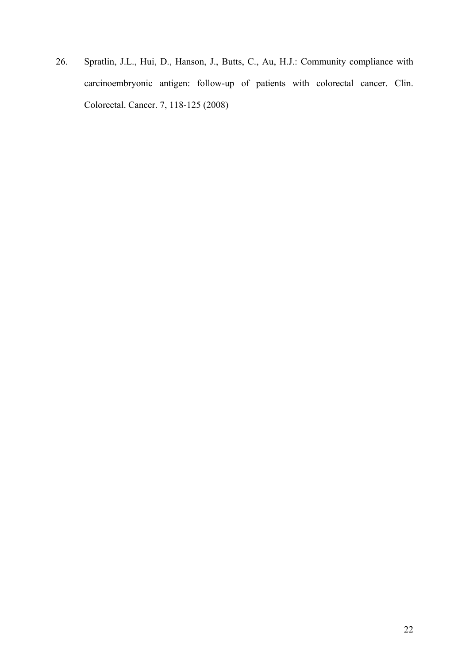26. Spratlin, J.L., Hui, D., Hanson, J., Butts, C., Au, H.J.: Community compliance with carcinoembryonic antigen: follow-up of patients with colorectal cancer. Clin. Colorectal. Cancer. 7, 118-125 (2008)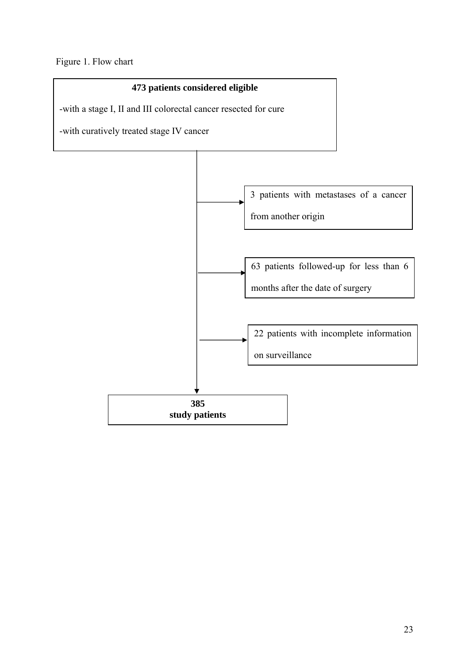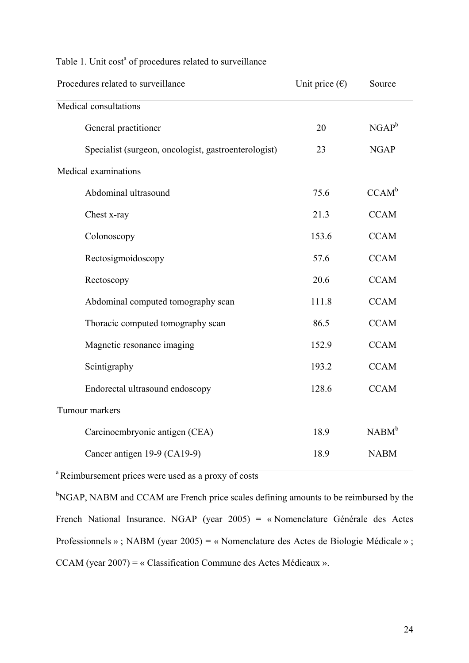| Procedures related to surveillance                   | Unit price $(\epsilon)$ | Source            |  |  |  |  |
|------------------------------------------------------|-------------------------|-------------------|--|--|--|--|
| Medical consultations                                |                         |                   |  |  |  |  |
| General practitioner                                 | 20                      | $NGAP^b$          |  |  |  |  |
| Specialist (surgeon, oncologist, gastroenterologist) | 23                      | <b>NGAP</b>       |  |  |  |  |
| Medical examinations                                 |                         |                   |  |  |  |  |
| Abdominal ultrasound                                 | 75.6                    | CCAM <sup>b</sup> |  |  |  |  |
| Chest x-ray                                          | 21.3                    | <b>CCAM</b>       |  |  |  |  |
| Colonoscopy                                          | 153.6                   | <b>CCAM</b>       |  |  |  |  |
| Rectosigmoidoscopy                                   | 57.6                    | <b>CCAM</b>       |  |  |  |  |
| Rectoscopy                                           | 20.6                    | <b>CCAM</b>       |  |  |  |  |
| Abdominal computed tomography scan                   | 111.8                   | <b>CCAM</b>       |  |  |  |  |
| Thoracic computed tomography scan                    | 86.5                    | <b>CCAM</b>       |  |  |  |  |
| Magnetic resonance imaging                           | 152.9                   | <b>CCAM</b>       |  |  |  |  |
| Scintigraphy                                         | 193.2                   | <b>CCAM</b>       |  |  |  |  |
| Endorectal ultrasound endoscopy                      | 128.6                   | <b>CCAM</b>       |  |  |  |  |
| Tumour markers                                       |                         |                   |  |  |  |  |
| Carcinoembryonic antigen (CEA)                       | 18.9                    | NABM <sup>b</sup> |  |  |  |  |
| Cancer antigen 19-9 (CA19-9)                         | 18.9                    | <b>NABM</b>       |  |  |  |  |

# Table 1. Unit cost<sup>a</sup> of procedures related to surveillance

<sup>a</sup> Reimbursement prices were used as a proxy of costs

<sup>b</sup>NGAP, NABM and CCAM are French price scales defining amounts to be reimbursed by the French National Insurance. NGAP (year 2005) = « Nomenclature Générale des Actes Professionnels » ; NABM (year 2005) = « Nomenclature des Actes de Biologie Médicale » ; CCAM (year 2007) = « Classification Commune des Actes Médicaux ».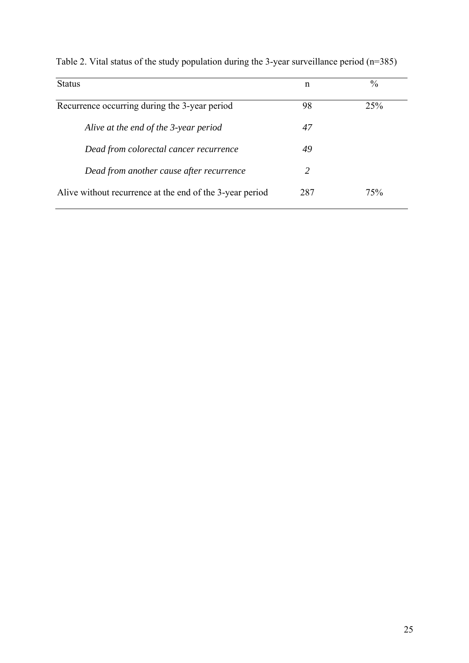| <b>Status</b>                                            | n   | $\frac{0}{0}$ |
|----------------------------------------------------------|-----|---------------|
| Recurrence occurring during the 3-year period            | 98  | 25%           |
| Alive at the end of the 3-year period                    | 47  |               |
| Dead from colorectal cancer recurrence                   | 49  |               |
| Dead from another cause after recurrence                 | 2   |               |
| Alive without recurrence at the end of the 3-year period | 287 | 75%           |

Table 2. Vital status of the study population during the 3-year surveillance period (n=385)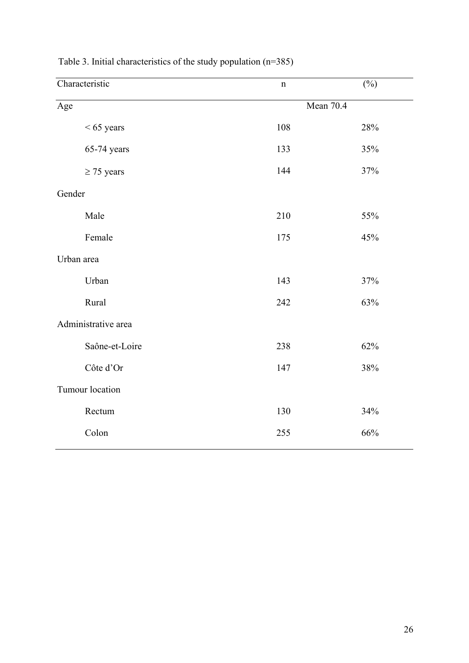| $\mathbf n$         | $(\%)$ |  |  |
|---------------------|--------|--|--|
| Mean 70.4           |        |  |  |
| 108                 | 28%    |  |  |
| 133                 | 35%    |  |  |
| 144                 | 37%    |  |  |
| Gender              |        |  |  |
| 210                 | 55%    |  |  |
| 175                 | 45%    |  |  |
|                     |        |  |  |
| 143                 | 37%    |  |  |
| 242                 | 63%    |  |  |
| Administrative area |        |  |  |
| 238                 | 62%    |  |  |
| 147                 | 38%    |  |  |
| Tumour location     |        |  |  |
| 130                 | 34%    |  |  |
| 255                 | $66\%$ |  |  |
|                     |        |  |  |

Table 3. Initial characteristics of the study population (n=385)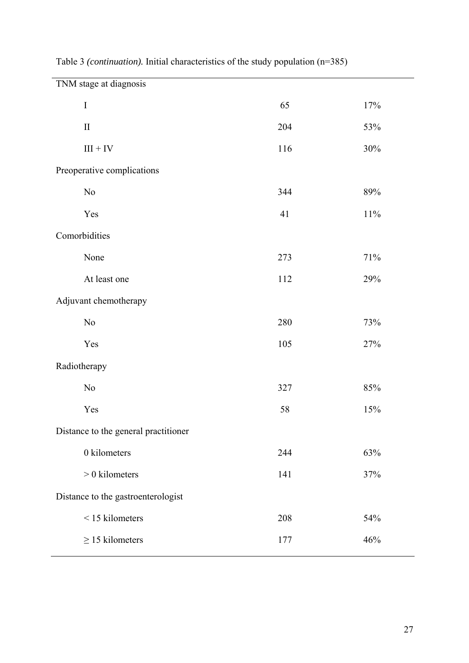| TNM stage at diagnosis               |     |        |  |  |
|--------------------------------------|-----|--------|--|--|
| $\bf I$                              | 65  | 17%    |  |  |
| $\mathbf{I}$                         | 204 | 53%    |  |  |
| $\text{III} + \text{IV}$             | 116 | 30%    |  |  |
| Preoperative complications           |     |        |  |  |
| $\rm No$                             | 344 | 89%    |  |  |
| Yes                                  | 41  | $11\%$ |  |  |
| Comorbidities                        |     |        |  |  |
| None                                 | 273 | 71%    |  |  |
| At least one                         | 112 | 29%    |  |  |
| Adjuvant chemotherapy                |     |        |  |  |
| $\rm No$                             | 280 | 73%    |  |  |
| Yes                                  | 105 | 27%    |  |  |
| Radiotherapy                         |     |        |  |  |
| $\rm No$                             | 327 | 85%    |  |  |
| Yes                                  | 58  | 15%    |  |  |
| Distance to the general practitioner |     |        |  |  |
| 0 kilometers                         | 244 | 63%    |  |  |
| $> 0$ kilometers                     | 141 | 37%    |  |  |
| Distance to the gastroenterologist   |     |        |  |  |
| <15 kilometers                       | 208 | 54%    |  |  |
| $\geq$ 15 kilometers                 | 177 | 46%    |  |  |

Table 3 *(continuation).* Initial characteristics of the study population (n=385)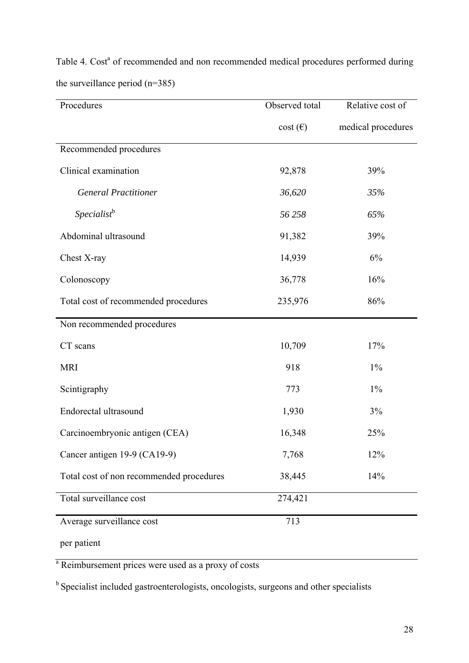| Procedures                               | Observed total   | Relative cost of   |
|------------------------------------------|------------------|--------------------|
|                                          | $cost(\epsilon)$ | medical procedures |
| Recommended procedures                   |                  |                    |
| Clinical examination                     | 92,878           | 39%                |
| <b>General Practitioner</b>              | 36,620           | 35%                |
| Specialist <sup>b</sup>                  | 56 258           | 65%                |
| Abdominal ultrasound                     | 91,382           | 39%                |
| Chest X-ray                              | 14,939           | 6%                 |
| Colonoscopy                              | 36,778           | 16%                |
| Total cost of recommended procedures     | 235,976          | 86%                |
| Non recommended procedures               |                  |                    |
| CT scans                                 | 10,709           | 17%                |
| <b>MRI</b>                               | 918              | $1\%$              |
| Scintigraphy                             | 773              | $1\%$              |
| Endorectal ultrasound                    | 1,930            | 3%                 |
| Carcinoembryonic antigen (CEA)           | 16,348           | 25%                |
| Cancer antigen 19-9 (CA19-9)             | 7,768            | 12%                |
| Total cost of non recommended procedures | 38,445           | 14%                |
| Total surveillance cost                  | 274,421          |                    |
| Average surveillance cost                | 713              |                    |
| per patient                              |                  |                    |

Table 4. Cost<sup>a</sup> of recommended and non recommended medical procedures performed during the surveillance period (n=385)

<sup>a</sup> Reimbursement prices were used as a proxy of costs

<sup>b</sup> Specialist included gastroenterologists, oncologists, surgeons and other specialists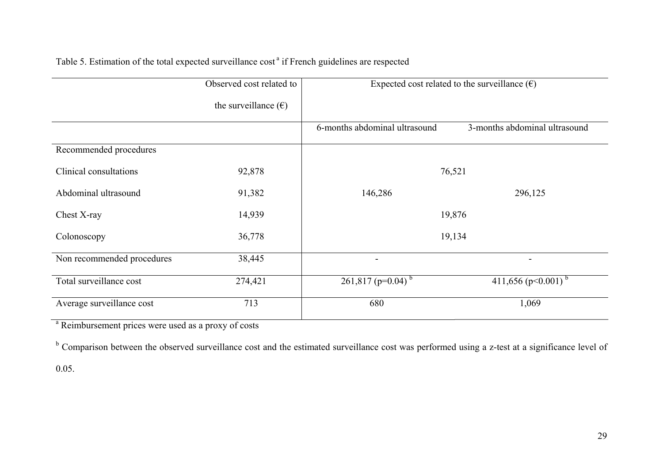|                            | Observed cost related to      | Expected cost related to the surveillance $(\epsilon)$ |                                    |
|----------------------------|-------------------------------|--------------------------------------------------------|------------------------------------|
|                            | the surveillance $(\epsilon)$ |                                                        |                                    |
|                            |                               | 6-months abdominal ultrasound                          | 3-months abdominal ultrasound      |
| Recommended procedures     |                               |                                                        |                                    |
| Clinical consultations     | 92,878                        | 76,521                                                 |                                    |
| Abdominal ultrasound       | 91,382                        | 146,286                                                | 296,125                            |
| Chest X-ray                | 14,939                        |                                                        | 19,876                             |
| Colonoscopy                | 36,778                        |                                                        | 19,134                             |
| Non recommended procedures | 38,445                        | -                                                      | $\blacksquare$                     |
| Total surveillance cost    | 274,421                       | $261,817$ (p=0.04) <sup>b</sup>                        | 411,656 ( $p<0.001$ ) <sup>b</sup> |
| Average surveillance cost  | 713                           | 680                                                    | 1,069                              |

# Table 5. Estimation of the total expected surveillance cost<sup>a</sup> if French guidelines are respected

a Reimbursement prices were used as a proxy of costs

<sup>b</sup> Comparison between the observed surveillance cost and the estimated surveillance cost was performed using a z-test at a significance level of

0.05.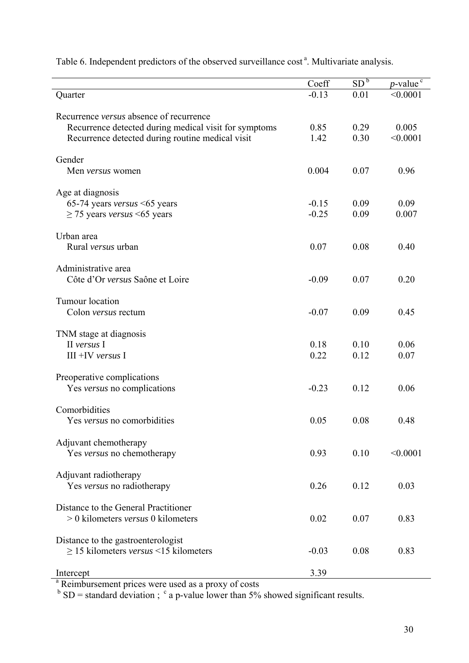|                                                       | Coeff        | SD <sup>b</sup> | $p$ -value <sup>c</sup> |
|-------------------------------------------------------|--------------|-----------------|-------------------------|
| Quarter                                               | $-0.13$      | 0.01            | < 0.0001                |
|                                                       |              |                 |                         |
| Recurrence versus absence of recurrence               |              |                 |                         |
| Recurrence detected during medical visit for symptoms | 0.85<br>1.42 | 0.29<br>0.30    | 0.005<br>< 0.0001       |
| Recurrence detected during routine medical visit      |              |                 |                         |
| Gender                                                |              |                 |                         |
| Men versus women                                      | 0.004        | 0.07            | 0.96                    |
|                                                       |              |                 |                         |
| Age at diagnosis                                      |              |                 |                         |
| 65-74 years versus <65 years                          | $-0.15$      | 0.09            | 0.09                    |
| $\geq$ 75 years versus <65 years                      | $-0.25$      | 0.09            | 0.007                   |
| Urban area                                            |              |                 |                         |
| Rural versus urban                                    | 0.07         | 0.08            | 0.40                    |
|                                                       |              |                 |                         |
| Administrative area                                   |              |                 |                         |
| Côte d'Or versus Saône et Loire                       | $-0.09$      | 0.07            | 0.20                    |
|                                                       |              |                 |                         |
| Tumour location                                       |              |                 |                         |
| Colon <i>versus</i> rectum                            | $-0.07$      | 0.09            | 0.45                    |
|                                                       |              |                 |                         |
| TNM stage at diagnosis<br>II versus I                 | 0.18         | 0.10            | 0.06                    |
| $III + IV$ versus I                                   | 0.22         | 0.12            | 0.07                    |
|                                                       |              |                 |                         |
| Preoperative complications                            |              |                 |                         |
| Yes versus no complications                           | $-0.23$      | 0.12            | 0.06                    |
|                                                       |              |                 |                         |
| Comorbidities                                         |              |                 |                         |
| Yes versus no comorbidities                           | 0.05         | 0.08            | 0.48                    |
|                                                       |              |                 |                         |
| Adjuvant chemotherapy<br>Yes versus no chemotherapy   | 0.93         | 0.10            | < 0.0001                |
|                                                       |              |                 |                         |
| Adjuvant radiotherapy                                 |              |                 |                         |
| Yes versus no radiotherapy                            | 0.26         | 0.12            | 0.03                    |
|                                                       |              |                 |                         |
| Distance to the General Practitioner                  |              |                 |                         |
| $> 0$ kilometers versus 0 kilometers                  | 0.02         | 0.07            | 0.83                    |
|                                                       |              |                 |                         |
| Distance to the gastroenterologist                    |              |                 |                         |
| $\geq$ 15 kilometers versus <15 kilometers            | $-0.03$      | 0.08            | 0.83                    |
| Intercept                                             | 3.39         |                 |                         |

Table 6. Independent predictors of the observed surveillance cost<sup>a</sup>. Multivariate analysis.

<sup>a</sup> Reimbursement prices were used as a proxy of costs

 $b$  SD = standard deviation ;  $c$  a p-value lower than 5% showed significant results.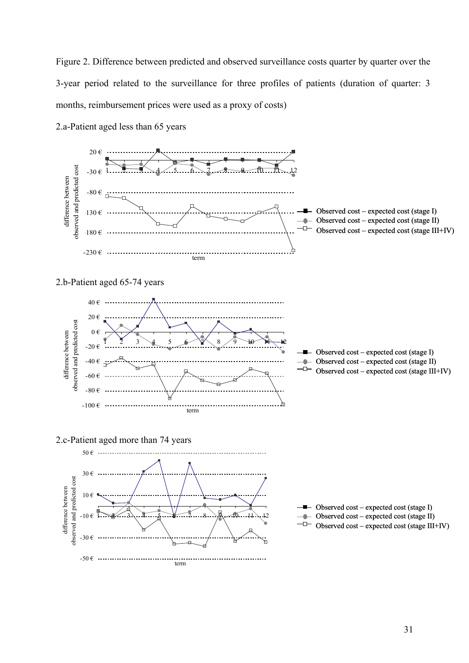Figure 2. Difference between predicted and observed surveillance costs quarter by quarter over the 3-year period related to the surveillance for three profiles of patients (duration of quarter: 3 months, reimbursement prices were used as a proxy of costs)



2.a-Patient aged less than 65 years

2.b-Patient aged 65-74 years